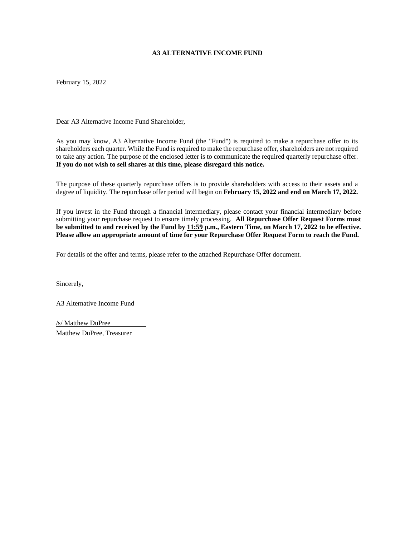#### **A3 ALTERNATIVE INCOME FUND**

February 15, 2022

Dear A3 Alternative Income Fund Shareholder,

As you may know, A3 Alternative Income Fund (the "Fund") is required to make a repurchase offer to its shareholders each quarter. While the Fund is required to make the repurchase offer, shareholders are not required to take any action. The purpose of the enclosed letter is to communicate the required quarterly repurchase offer. **If you do not wish to sell shares at this time, please disregard this notice.**

The purpose of these quarterly repurchase offers is to provide shareholders with access to their assets and a degree of liquidity. The repurchase offer period will begin on **February 15, 2022 and end on March 17, 2022.**

If you invest in the Fund through a financial intermediary, please contact your financial intermediary before submitting your repurchase request to ensure timely processing. **All Repurchase Offer Request Forms must** be submitted to and received by the Fund by  $11:59$  p.m., Eastern Time, on March 17, 2022 to be effective. **Please allow an appropriate amount of time for your Repurchase Offer Request Form to reach the Fund.**

For details of the offer and terms, please refer to the attached Repurchase Offer document.

Sincerely,

A3 Alternative Income Fund

/s/ Matthew DuPree Matthew DuPree, Treasurer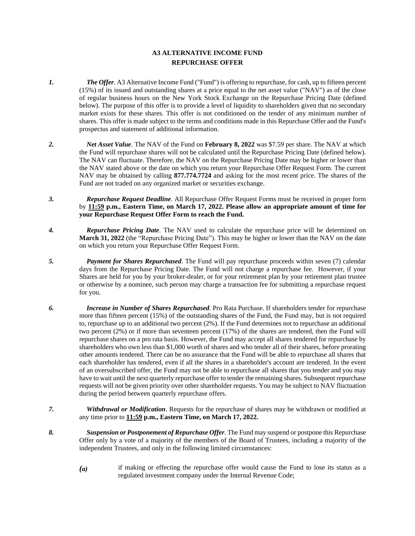### **A3 ALTERNATIVE INCOME FUND REPURCHASE OFFER**

- *1. The Offer*. A3 Alternative Income Fund ("Fund") is offering to repurchase, for cash, up to fifteen percent (15%) of its issued and outstanding shares at a price equal to the net asset value ("NAV") as of the close of regular business hours on the New York Stock Exchange on the Repurchase Pricing Date (defined below). The purpose of this offer is to provide a level of liquidity to shareholders given that no secondary market exists for these shares. This offer is not conditioned on the tender of any minimum number of shares. This offer is made subject to the terms and conditions made in this Repurchase Offer and the Fund's prospectus and statement of additional information.
- *2. Net Asset Value*. The NAV of the Fund on **February 8, 2022** was \$7.59 per share. The NAV at which the Fund will repurchase shares will not be calculated until the Repurchase Pricing Date (defined below). The NAV can fluctuate. Therefore, the NAV on the Repurchase Pricing Date may be higher or lower than the NAV stated above or the date on which you return your Repurchase Offer Request Form. The current NAV may be obtained by calling **877.774.7724** and asking for the most recent price. The shares of the Fund are not traded on any organized market or securities exchange.
- *3. Repurchase Request Deadline*. All Repurchase Offer Request Forms must be received in proper form by **11:59 p.m., Eastern Time, on March 17, 2022. Please allow an appropriate amount of time for your Repurchase Request Offer Form to reach the Fund.**
- *4. Repurchase Pricing Date*. The NAV used to calculate the repurchase price will be determined on **March 31, 2022** (the "Repurchase Pricing Date"). This may be higher or lower than the NAV on the date on which you return your Repurchase Offer Request Form.
- *5. Payment for Shares Repurchased*. The Fund will pay repurchase proceeds within seven (7) calendar days from the Repurchase Pricing Date. The Fund will not charge a repurchase fee. However, if your Shares are held for you by your broker-dealer, or for your retirement plan by your retirement plan trustee or otherwise by a nominee, such person may charge a transaction fee for submitting a repurchase request for you.
- *6. Increase in Number of Shares Repurchased*. Pro Rata Purchase. If shareholders tender for repurchase more than fifteen percent (15%) of the outstanding shares of the Fund, the Fund may, but is not required to, repurchase up to an additional two percent (2%). If the Fund determines not to repurchase an additional two percent (2%) or if more than seventeen percent (17%) of the shares are tendered, then the Fund will repurchase shares on a pro rata basis. However, the Fund may accept all shares tendered for repurchase by shareholders who own less than \$1,000 worth of shares and who tender all of their shares, before prorating other amounts tendered. There can be no assurance that the Fund will be able to repurchase all shares that each shareholder has tendered, even if all the shares in a shareholder's account are tendered. In the event of an oversubscribed offer, the Fund may not be able to repurchase all shares that you tender and you may have to wait until the next quarterly repurchase offer to tender the remaining shares. Subsequent repurchase requests will not be given priority over other shareholder requests. You may be subject to NAV fluctuation during the period between quarterly repurchase offers.
- *7. Withdrawal or Modification*. Requests for the repurchase of shares may be withdrawn or modified at any time prior to **11:59 p.m., Eastern Time, on March 17, 2022.**
- *8. Suspension or Postponement of Repurchase Offer*. The Fund may suspend or postpone this Repurchase Offer only by a vote of a majority of the members of the Board of Trustees, including a majority of the independent Trustees, and only in the following limited circumstances:
	- *(a)* if making or effecting the repurchase offer would cause the Fund to lose its status as a regulated investment company under the Internal Revenue Code;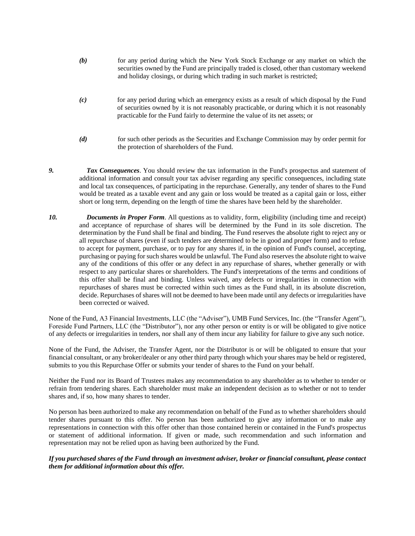- *(b)* for any period during which the New York Stock Exchange or any market on which the securities owned by the Fund are principally traded is closed, other than customary weekend and holiday closings, or during which trading in such market is restricted;
- *(c)* for any period during which an emergency exists as a result of which disposal by the Fund of securities owned by it is not reasonably practicable, or during which it is not reasonably practicable for the Fund fairly to determine the value of its net assets; or
- *(d)* for such other periods as the Securities and Exchange Commission may by order permit for the protection of shareholders of the Fund.
- *9. Tax Consequences*. You should review the tax information in the Fund's prospectus and statement of additional information and consult your tax adviser regarding any specific consequences, including state and local tax consequences, of participating in the repurchase. Generally, any tender of shares to the Fund would be treated as a taxable event and any gain or loss would be treated as a capital gain or loss, either short or long term, depending on the length of time the shares have been held by the shareholder.
- *10. Documents in Proper Form*. All questions as to validity, form, eligibility (including time and receipt) and acceptance of repurchase of shares will be determined by the Fund in its sole discretion. The determination by the Fund shall be final and binding. The Fund reserves the absolute right to reject any or all repurchase of shares (even if such tenders are determined to be in good and proper form) and to refuse to accept for payment, purchase, or to pay for any shares if, in the opinion of Fund's counsel, accepting, purchasing or paying for such shares would be unlawful. The Fund also reserves the absolute right to waive any of the conditions of this offer or any defect in any repurchase of shares, whether generally or with respect to any particular shares or shareholders. The Fund's interpretations of the terms and conditions of this offer shall be final and binding. Unless waived, any defects or irregularities in connection with repurchases of shares must be corrected within such times as the Fund shall, in its absolute discretion, decide. Repurchases of shares will not be deemed to have been made until any defects or irregularities have been corrected or waived.

None of the Fund, A3 Financial Investments, LLC (the "Adviser"), UMB Fund Services, Inc. (the "Transfer Agent"), Foreside Fund Partners, LLC (the "Distributor"), nor any other person or entity is or will be obligated to give notice of any defects or irregularities in tenders, nor shall any of them incur any liability for failure to give any such notice.

None of the Fund, the Adviser, the Transfer Agent, nor the Distributor is or will be obligated to ensure that your financial consultant, or any broker/dealer or any other third party through which your shares may be held or registered, submits to you this Repurchase Offer or submits your tender of shares to the Fund on your behalf.

Neither the Fund nor its Board of Trustees makes any recommendation to any shareholder as to whether to tender or refrain from tendering shares. Each shareholder must make an independent decision as to whether or not to tender shares and, if so, how many shares to tender.

No person has been authorized to make any recommendation on behalf of the Fund as to whether shareholders should tender shares pursuant to this offer. No person has been authorized to give any information or to make any representations in connection with this offer other than those contained herein or contained in the Fund's prospectus or statement of additional information. If given or made, such recommendation and such information and representation may not be relied upon as having been authorized by the Fund.

#### If you purchased shares of the Fund through an investment adviser, broker or financial consultant, please contact *them for additional information about this offer.*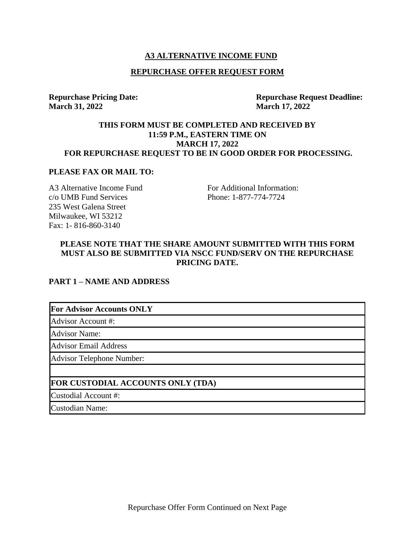### **A3 ALTERNATIVE INCOME FUND**

#### **REPURCHASE OFFER REQUEST FORM**

**Repurchase Pricing Date: March 31, 2022**

**Repurchase Request Deadline: March 17, 2022**

### **THIS FORM MUST BE COMPLETED AND RECEIVED BY 11:59 P.M., EASTERN TIME ON MARCH 17, 2022 FOR REPURCHASE REQUEST TO BE IN GOOD ORDER FOR PROCESSING.**

#### **PLEASE FAX OR MAIL TO:**

A3 Alternative Income Fund c/o UMB Fund Services 235 West Galena Street Milwaukee, [WI](http://www.secinfo.com/$/SEC/Registrants.asp?State=WI) 53212 Fax: 1- 816-860-3140

For Additional Information: Phone: 1-877-774-7724

### **PLEASE NOTE THAT THE SHARE AMOUNT SUBMITTED WITH THIS FORM MUST ALSO BE SUBMITTED VIA NSCC FUND/SERV ON THE REPURCHASE PRICING DATE.**

#### **PART 1 – NAME AND ADDRESS**

### **For Advisor Accounts ONLY**

Advisor Account #:

Advisor Name:

Advisor Email Address

Advisor Telephone Number:

#### **FOR CUSTODIAL ACCOUNTS ONLY (TDA)**

Custodial Account #:

Custodian Name: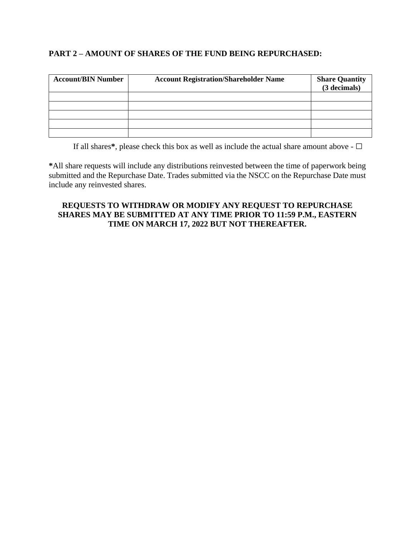## **PART 2 – AMOUNT OF SHARES OF THE FUND BEING REPURCHASED:**

| <b>Account/BIN Number</b> | <b>Account Registration/Shareholder Name</b> | <b>Share Quantity</b><br>(3 decimals) |
|---------------------------|----------------------------------------------|---------------------------------------|
|                           |                                              |                                       |
|                           |                                              |                                       |
|                           |                                              |                                       |
|                           |                                              |                                       |
|                           |                                              |                                       |

If all shares**\***, please check this box as well as include the actual share amount above - **□**

**\***All share requests will include any distributions reinvested between the time of paperwork being submitted and the Repurchase Date. Trades submitted via the NSCC on the Repurchase Date must include any reinvested shares.

## **REQUESTS TO WITHDRAW OR MODIFY ANY REQUEST TO REPURCHASE SHARES MAY BE SUBMITTED AT ANY TIME PRIOR TO 11:59 P.M., EASTERN TIME ON MARCH 17, 2022 BUT NOT THEREAFTER.**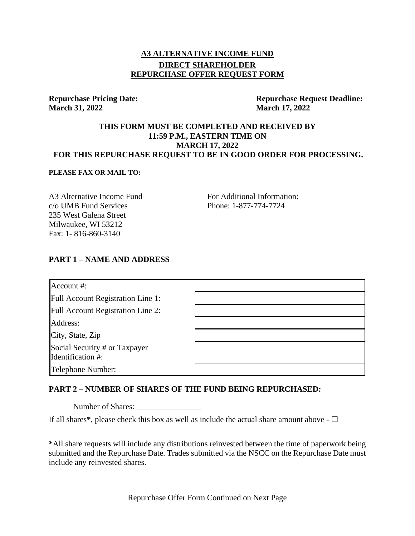# **A3 ALTERNATIVE INCOME FUND DIRECT SHAREHOLDER REPURCHASE OFFER REQUEST FORM**

### **Repurchase Pricing Date: March 31, 2022**

**Repurchase Request Deadline: March 17, 2022**

### **THIS FORM MUST BE COMPLETED AND RECEIVED BY 11:59 P.M., EASTERN TIME ON MARCH 17, 2022 FOR THIS REPURCHASE REQUEST TO BE IN GOOD ORDER FOR PROCESSING.**

#### **PLEASE FAX OR MAIL TO:**

A3 Alternative Income Fund c/o UMB Fund Services 235 West Galena Street Milwaukee, [WI](http://www.secinfo.com/$/SEC/Registrants.asp?State=WI) 53212 Fax: 1- 816-860-3140

For Additional Information: Phone: 1-877-774-7724

### **PART 1 – NAME AND ADDRESS**

| Account #:                                                             |  |
|------------------------------------------------------------------------|--|
|                                                                        |  |
| Full Account Registration Line 1:                                      |  |
| Full Account Registration Line 2:                                      |  |
| Address:                                                               |  |
|                                                                        |  |
| City, State, Zip<br>Social Security # or Taxpayer<br>Identification #: |  |
| Telephone Number:                                                      |  |

## **PART 2 – NUMBER OF SHARES OF THE FUND BEING REPURCHASED:**

Number of Shares:

If all shares**\***, please check this box as well as include the actual share amount above - **□**

**\***All share requests will include any distributions reinvested between the time of paperwork being submitted and the Repurchase Date. Trades submitted via the NSCC on the Repurchase Date must include any reinvested shares.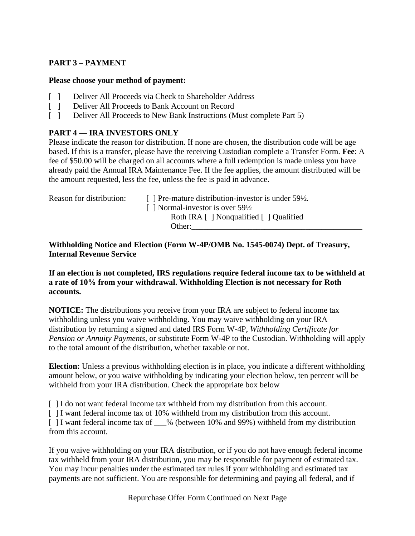# **PART 3 – PAYMENT**

### **Please choose your method of payment:**

- [ ] Deliver All Proceeds via Check to Shareholder Address
- [ ] Deliver All Proceeds to Bank Account on Record
- [ ] Deliver All Proceeds to New Bank Instructions (Must complete Part 5)

## **PART 4 — IRA INVESTORS ONLY**

Please indicate the reason for distribution. If none are chosen, the distribution code will be age based. If this is a transfer, please have the receiving Custodian complete a Transfer Form. **Fee**: A fee of \$50.00 will be charged on all accounts where a full redemption is made unless you have already paid the Annual IRA Maintenance Fee. If the fee applies, the amount distributed will be the amount requested, less the fee, unless the fee is paid in advance.

Reason for distribution: [ ] Pre-mature distribution-investor is under  $59\frac{1}{2}$ . [ ] Normal-investor is over 59<sup>1/2</sup> Roth IRA [ ] Nonqualified [ ] Qualified Other:

**Withholding Notice and Election (Form W-4P/OMB No. 1545-0074) Dept. of Treasury, Internal Revenue Service**

**If an election is not completed, IRS regulations require federal income tax to be withheld at a rate of 10% from your withdrawal. Withholding Election is not necessary for Roth accounts.**

**NOTICE:** The distributions you receive from your IRA are subject to federal income tax withholding unless you waive withholding. You may waive withholding on your IRA distribution by returning a signed and dated IRS Form W-4P, *Withholding Certificate for Pension or Annuity Payments*, or substitute Form W-4P to the Custodian. Withholding will apply to the total amount of the distribution, whether taxable or not.

**Election:** Unless a previous withholding election is in place, you indicate a different withholding amount below, or you waive withholding by indicating your election below, ten percent will be withheld from your IRA distribution. Check the appropriate box below

[ ] I do not want federal income tax withheld from my distribution from this account.

[ ] I want federal income tax of 10% withheld from my distribution from this account.

[ ] I want federal income tax of  $\_\%$  (between 10% and 99%) withheld from my distribution from this account.

If you waive withholding on your IRA distribution, or if you do not have enough federal income tax withheld from your IRA distribution, you may be responsible for payment of estimated tax. You may incur penalties under the estimated tax rules if your withholding and estimated tax payments are not sufficient. You are responsible for determining and paying all federal, and if

Repurchase Offer Form Continued on Next Page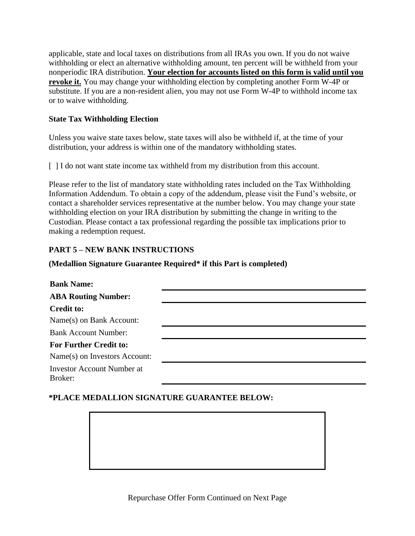applicable, state and local taxes on distributions from all IRAs you own. If you do not waive withholding or elect an alternative withholding amount, ten percent will be withheld from your nonperiodic IRA distribution. **Your election for accounts listed on this form is valid until you revoke it.** You may change your withholding election by completing another Form W-4P or substitute. If you are a non-resident alien, you may not use Form W-4P to withhold income tax or to waive withholding.

## **State Tax Withholding Election**

Unless you waive state taxes below, state taxes will also be withheld if, at the time of your distribution, your address is within one of the mandatory withholding states.

[ ] I do not want state income tax withheld from my distribution from this account.

Please refer to the list of mandatory state withholding rates included on the Tax Withholding Information Addendum. To obtain a copy of the addendum, please visit the Fund's website, or contact a shareholder services representative at the number below. You may change your state withholding election on your IRA distribution by submitting the change in writing to the Custodian. Please contact a tax professional regarding the possible tax implications prior to making a redemption request.

## **PART 5 – NEW BANK INSTRUCTIONS**

### **(Medallion Signature Guarantee Required\* if this Part is completed)**

| <b>Bank Name:</b>                            |  |
|----------------------------------------------|--|
| <b>ABA Routing Number:</b>                   |  |
| <b>Credit to:</b>                            |  |
| Name(s) on Bank Account:                     |  |
| <b>Bank Account Number:</b>                  |  |
| <b>For Further Credit to:</b>                |  |
| Name(s) on Investors Account:                |  |
| <b>Investor Account Number at</b><br>Broker: |  |

## **\*PLACE MEDALLION SIGNATURE GUARANTEE BELOW:**